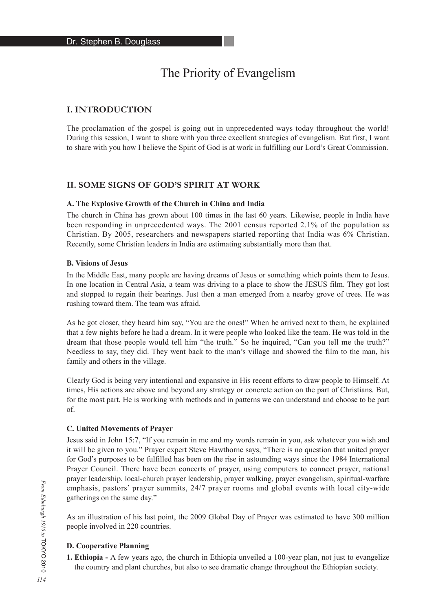# The Priority of Evangelism

# **I. INTRODUCTION**

The proclamation of the gospel is going out in unprecedented ways today throughout the world! During this session, I want to share with you three excellent strategies of evangelism. But first, I want to share with you how I believe the Spirit of God is at work in fulfilling our Lord's Great Commission.

# **II. SOME SIGNS OF GOD'S SPIRIT AT WORK**

#### **A. The Explosive Growth of the Church in China and India**

The church in China has grown about 100 times in the last 60 years. Likewise, people in India have been responding in unprecedented ways. The 2001 census reported 2.1% of the population as Christian. By 2005, researchers and newspapers started reporting that India was 6% Christian. Recently, some Christian leaders in India are estimating substantially more than that.

#### **B. Visions of Jesus**

In the Middle East, many people are having dreams of Jesus or something which points them to Jesus. In one location in Central Asia, a team was driving to a place to show the JESUS film. They got lost and stopped to regain their bearings. Just then a man emerged from a nearby grove of trees. He was rushing toward them. The team was afraid.

As he got closer, they heard him say, "You are the ones!" When he arrived next to them, he explained that a few nights before he had a dream. In it were people who looked like the team. He was told in the dream that those people would tell him "the truth." So he inquired, "Can you tell me the truth?" Needless to say, they did. They went back to the man's village and showed the film to the man, his family and others in the village.

Clearly God is being very intentional and expansive in His recent efforts to draw people to Himself. At times, His actions are above and beyond any strategy or concrete action on the part of Christians. But, for the most part, He is working with methods and in patterns we can understand and choose to be part of.

#### **C. United Movements of Prayer**

Jesus said in John 15:7, "If you remain in me and my words remain in you, ask whatever you wish and it will be given to you." Prayer expert Steve Hawthorne says, "There is no question that united prayer for God's purposes to be fulfilled has been on the rise in astounding ways since the 1984 International Prayer Council. There have been concerts of prayer, using computers to connect prayer, national prayer leadership, local-church prayer leadership, prayer walking, prayer evangelism, spiritual-warfare emphasis, pastors' prayer summits, 24/7 prayer rooms and global events with local city-wide gatherings on the same day."

As an illustration of his last point, the 2009 Global Day of Prayer was estimated to have 300 million people involved in 220 countries.

## **D. Cooperative Planning**

**1. Ethiopia -** A few years ago, the church in Ethiopia unveiled a 100-year plan, not just to evangelize the country and plant churches, but also to see dramatic change throughout the Ethiopian society.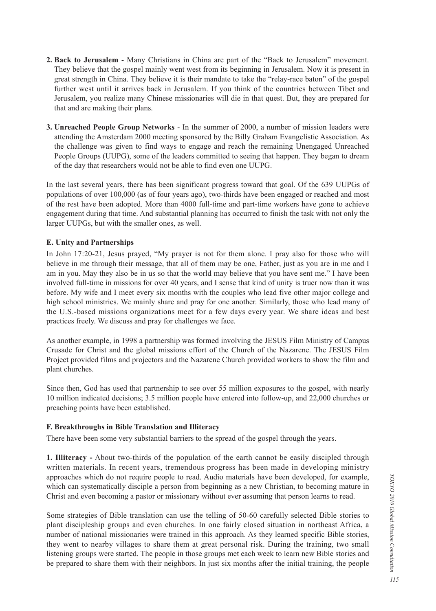- **2. Back to Jerusalem**  Many Christians in China are part of the "Back to Jerusalem" movement. They believe that the gospel mainly went west from its beginning in Jerusalem. Now it is present in great strength in China. They believe it is their mandate to take the "relay-race baton" of the gospel further west until it arrives back in Jerusalem. If you think of the countries between Tibet and Jerusalem, you realize many Chinese missionaries will die in that quest. But, they are prepared for that and are making their plans.
- **3. Unreached People Group Networks** In the summer of 2000, a number of mission leaders were attending the Amsterdam 2000 meeting sponsored by the Billy Graham Evangelistic Association. As the challenge was given to find ways to engage and reach the remaining Unengaged Unreached People Groups (UUPG), some of the leaders committed to seeing that happen. They began to dream of the day that researchers would not be able to find even one UUPG.

In the last several years, there has been significant progress toward that goal. Of the 639 UUPGs of populations of over 100,000 (as of four years ago), two-thirds have been engaged or reached and most of the rest have been adopted. More than 4000 full-time and part-time workers have gone to achieve engagement during that time. And substantial planning has occurred to finish the task with not only the larger UUPGs, but with the smaller ones, as well.

#### **E. Unity and Partnerships**

In John 17:20-21, Jesus prayed, "My prayer is not for them alone. I pray also for those who will believe in me through their message, that all of them may be one, Father, just as you are in me and I am in you. May they also be in us so that the world may believe that you have sent me." I have been involved full-time in missions for over 40 years, and I sense that kind of unity is truer now than it was before. My wife and I meet every six months with the couples who lead five other major college and high school ministries. We mainly share and pray for one another. Similarly, those who lead many of the U.S.-based missions organizations meet for a few days every year. We share ideas and best practices freely. We discuss and pray for challenges we face.

As another example, in 1998 a partnership was formed involving the JESUS Film Ministry of Campus Crusade for Christ and the global missions effort of the Church of the Nazarene. The JESUS Film Project provided films and projectors and the Nazarene Church provided workers to show the film and plant churches.

Since then, God has used that partnership to see over 55 million exposures to the gospel, with nearly 10 million indicated decisions; 3.5 million people have entered into follow-up, and 22,000 churches or preaching points have been established.

#### **F. Breakthroughs in Bible Translation and Illiteracy**

There have been some very substantial barriers to the spread of the gospel through the years.

**1. Illiteracy -** About two-thirds of the population of the earth cannot be easily discipled through written materials. In recent years, tremendous progress has been made in developing ministry approaches which do not require people to read. Audio materials have been developed, for example, which can systematically disciple a person from beginning as a new Christian, to becoming mature in Christ and even becoming a pastor or missionary without ever assuming that person learns to read.

Some strategies of Bible translation can use the telling of 50-60 carefully selected Bible stories to plant discipleship groups and even churches. In one fairly closed situation in northeast Africa, a number of national missionaries were trained in this approach. As they learned specific Bible stories, they went to nearby villages to share them at great personal risk. During the training, two small listening groups were started. The people in those groups met each week to learn new Bible stories and be prepared to share them with their neighbors. In just six months after the initial training, the people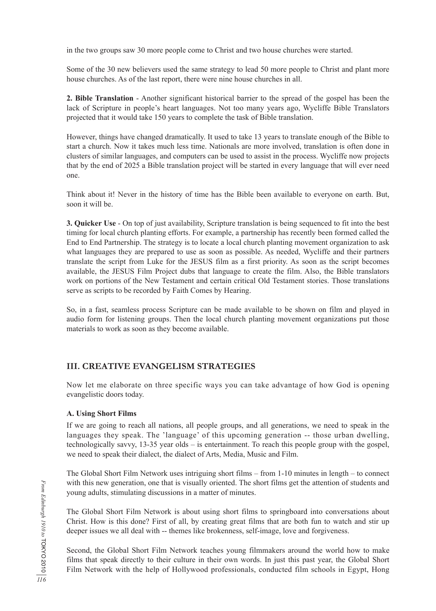in the two groups saw 30 more people come to Christ and two house churches were started.

Some of the 30 new believers used the same strategy to lead 50 more people to Christ and plant more house churches. As of the last report, there were nine house churches in all.

**2. Bible Translation** - Another significant historical barrier to the spread of the gospel has been the lack of Scripture in people's heart languages. Not too many years ago, Wycliffe Bible Translators projected that it would take 150 years to complete the task of Bible translation.

However, things have changed dramatically. It used to take 13 years to translate enough of the Bible to start a church. Now it takes much less time. Nationals are more involved, translation is often done in clusters of similar languages, and computers can be used to assist in the process. Wycliffe now projects that by the end of 2025 a Bible translation project will be started in every language that will ever need one.

Think about it! Never in the history of time has the Bible been available to everyone on earth. But, soon it will be.

**3. Quicker Use** - On top of just availability, Scripture translation is being sequenced to fit into the best timing for local church planting efforts. For example, a partnership has recently been formed called the End to End Partnership. The strategy is to locate a local church planting movement organization to ask what languages they are prepared to use as soon as possible. As needed, Wycliffe and their partners translate the script from Luke for the JESUS film as a first priority. As soon as the script becomes available, the JESUS Film Project dubs that language to create the film. Also, the Bible translators work on portions of the New Testament and certain critical Old Testament stories. Those translations serve as scripts to be recorded by Faith Comes by Hearing.

So, in a fast, seamless process Scripture can be made available to be shown on film and played in audio form for listening groups. Then the local church planting movement organizations put those materials to work as soon as they become available.

# **III. CREATIVE EVANGELISM STRATEGIES**

Now let me elaborate on three specific ways you can take advantage of how God is opening evangelistic doors today.

## **A. Using Short Films**

If we are going to reach all nations, all people groups, and all generations, we need to speak in the languages they speak. The 'language' of this upcoming generation -- those urban dwelling, technologically savvy, 13-35 year olds – is entertainment. To reach this people group with the gospel, we need to speak their dialect, the dialect of Arts, Media, Music and Film.

The Global Short Film Network uses intriguing short films – from 1-10 minutes in length – to connect with this new generation, one that is visually oriented. The short films get the attention of students and young adults, stimulating discussions in a matter of minutes.

The Global Short Film Network is about using short films to springboard into conversations about Christ. How is this done? First of all, by creating great films that are both fun to watch and stir up deeper issues we all deal with -- themes like brokenness, self-image, love and forgiveness.

Second, the Global Short Film Network teaches young filmmakers around the world how to make films that speak directly to their culture in their own words. In just this past year, the Global Short Film Network with the help of Hollywood professionals, conducted film schools in Egypt, Hong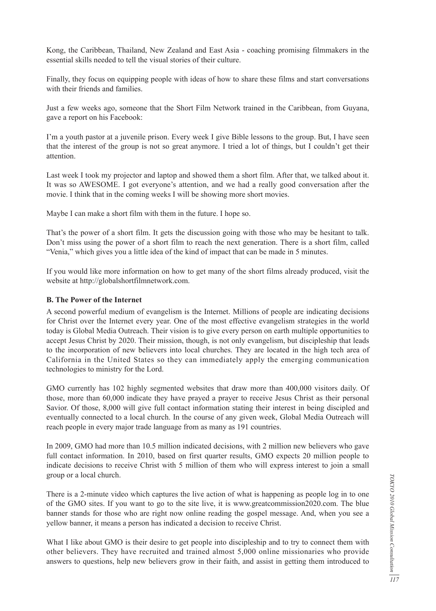Kong, the Caribbean, Thailand, New Zealand and East Asia - coaching promising filmmakers in the essential skills needed to tell the visual stories of their culture.

Finally, they focus on equipping people with ideas of how to share these films and start conversations with their friends and families.

Just a few weeks ago, someone that the Short Film Network trained in the Caribbean, from Guyana, gave a report on his Facebook:

I'm a youth pastor at a juvenile prison. Every week I give Bible lessons to the group. But, I have seen that the interest of the group is not so great anymore. I tried a lot of things, but I couldn't get their attention.

Last week I took my projector and laptop and showed them a short film. After that, we talked about it. It was so AWESOME. I got everyone's attention, and we had a really good conversation after the movie. I think that in the coming weeks I will be showing more short movies.

Maybe I can make a short film with them in the future. I hope so.

That's the power of a short film. It gets the discussion going with those who may be hesitant to talk. Don't miss using the power of a short film to reach the next generation. There is a short film, called "Venia," which gives you a little idea of the kind of impact that can be made in 5 minutes.

If you would like more information on how to get many of the short films already produced, visit the website at http://globalshortfilmnetwork.com.

#### **B. The Power of the Internet**

A second powerful medium of evangelism is the Internet. Millions of people are indicating decisions for Christ over the Internet every year. One of the most effective evangelism strategies in the world today is Global Media Outreach. Their vision is to give every person on earth multiple opportunities to accept Jesus Christ by 2020. Their mission, though, is not only evangelism, but discipleship that leads to the incorporation of new believers into local churches. They are located in the high tech area of California in the United States so they can immediately apply the emerging communication technologies to ministry for the Lord.

GMO currently has 102 highly segmented websites that draw more than 400,000 visitors daily. Of those, more than 60,000 indicate they have prayed a prayer to receive Jesus Christ as their personal Savior. Of those, 8,000 will give full contact information stating their interest in being discipled and eventually connected to a local church. In the course of any given week, Global Media Outreach will reach people in every major trade language from as many as 191 countries.

In 2009, GMO had more than 10.5 million indicated decisions, with 2 million new believers who gave full contact information. In 2010, based on first quarter results, GMO expects 20 million people to indicate decisions to receive Christ with 5 million of them who will express interest to join a small group or a local church.

There is a 2-minute video which captures the live action of what is happening as people log in to one of the GMO sites. If you want to go to the site live, it is www.greatcommission2020.com. The blue banner stands for those who are right now online reading the gospel message. And, when you see a yellow banner, it means a person has indicated a decision to receive Christ.

What I like about GMO is their desire to get people into discipleship and to try to connect them with other believers. They have recruited and trained almost 5,000 online missionaries who provide answers to questions, help new believers grow in their faith, and assist in getting them introduced to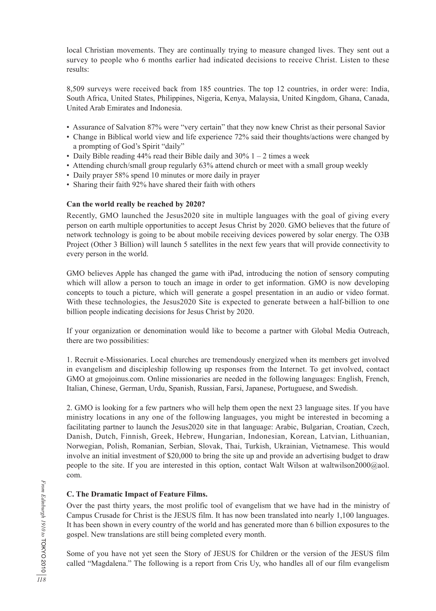local Christian movements. They are continually trying to measure changed lives. They sent out a survey to people who 6 months earlier had indicated decisions to receive Christ. Listen to these results:

8,509 surveys were received back from 185 countries. The top 12 countries, in order were: India, South Africa, United States, Philippines, Nigeria, Kenya, Malaysia, United Kingdom, Ghana, Canada, United Arab Emirates and Indonesia.

- Assurance of Salvation 87% were "very certain" that they now knew Christ as their personal Savior
- Change in Biblical world view and life experience 72% said their thoughts/actions were changed by a prompting of God's Spirit "daily"
- Daily Bible reading 44% read their Bible daily and  $30\%$  1 2 times a week
- Attending church/small group regularly 63% attend church or meet with a small group weekly
- Daily prayer 58% spend 10 minutes or more daily in prayer
- Sharing their faith 92% have shared their faith with others

## **Can the world really be reached by 2020?**

Recently, GMO launched the Jesus2020 site in multiple languages with the goal of giving every person on earth multiple opportunities to accept Jesus Christ by 2020. GMO believes that the future of network technology is going to be about mobile receiving devices powered by solar energy. The O3B Project (Other 3 Billion) will launch 5 satellites in the next few years that will provide connectivity to every person in the world.

GMO believes Apple has changed the game with iPad, introducing the notion of sensory computing which will allow a person to touch an image in order to get information. GMO is now developing concepts to touch a picture, which will generate a gospel presentation in an audio or video format. With these technologies, the Jesus2020 Site is expected to generate between a half-billion to one billion people indicating decisions for Jesus Christ by 2020.

If your organization or denomination would like to become a partner with Global Media Outreach, there are two possibilities:

1. Recruit e-Missionaries. Local churches are tremendously energized when its members get involved in evangelism and discipleship following up responses from the Internet. To get involved, contact GMO at gmojoinus.com. Online missionaries are needed in the following languages: English, French, Italian, Chinese, German, Urdu, Spanish, Russian, Farsi, Japanese, Portuguese, and Swedish.

2. GMO is looking for a few partners who will help them open the next 23 language sites. If you have ministry locations in any one of the following languages, you might be interested in becoming a facilitating partner to launch the Jesus2020 site in that language: Arabic, Bulgarian, Croatian, Czech, Danish, Dutch, Finnish, Greek, Hebrew, Hungarian, Indonesian, Korean, Latvian, Lithuanian, Norwegian, Polish, Romanian, Serbian, Slovak, Thai, Turkish, Ukrainian, Vietnamese. This would involve an initial investment of \$20,000 to bring the site up and provide an advertising budget to draw people to the site. If you are interested in this option, contact Walt Wilson at waltwilson2000@aol. com.

# **C. The Dramatic Impact of Feature Films.**

Over the past thirty years, the most prolific tool of evangelism that we have had in the ministry of Campus Crusade for Christ is the JESUS film. It has now been translated into nearly 1,100 languages. It has been shown in every country of the world and has generated more than 6 billion exposures to the gospel. New translations are still being completed every month.

Some of you have not yet seen the Story of JESUS for Children or the version of the JESUS film called "Magdalena." The following is a report from Cris Uy, who handles all of our film evangelism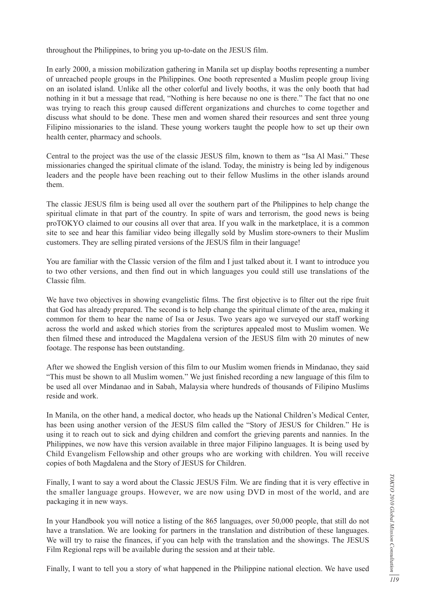throughout the Philippines, to bring you up-to-date on the JESUS film.

In early 2000, a mission mobilization gathering in Manila set up display booths representing a number of unreached people groups in the Philippines. One booth represented a Muslim people group living on an isolated island. Unlike all the other colorful and lively booths, it was the only booth that had nothing in it but a message that read, "Nothing is here because no one is there." The fact that no one was trying to reach this group caused different organizations and churches to come together and discuss what should to be done. These men and women shared their resources and sent three young Filipino missionaries to the island. These young workers taught the people how to set up their own health center, pharmacy and schools.

Central to the project was the use of the classic JESUS film, known to them as "Isa Al Masi." These missionaries changed the spiritual climate of the island. Today, the ministry is being led by indigenous leaders and the people have been reaching out to their fellow Muslims in the other islands around them.

The classic JESUS film is being used all over the southern part of the Philippines to help change the spiritual climate in that part of the country. In spite of wars and terrorism, the good news is being proTOKYO claimed to our cousins all over that area. If you walk in the marketplace, it is a common site to see and hear this familiar video being illegally sold by Muslim store-owners to their Muslim customers. They are selling pirated versions of the JESUS film in their language!

You are familiar with the Classic version of the film and I just talked about it. I want to introduce you to two other versions, and then find out in which languages you could still use translations of the Classic film.

We have two objectives in showing evangelistic films. The first objective is to filter out the ripe fruit that God has already prepared. The second is to help change the spiritual climate of the area, making it common for them to hear the name of Isa or Jesus. Two years ago we surveyed our staff working across the world and asked which stories from the scriptures appealed most to Muslim women. We then filmed these and introduced the Magdalena version of the JESUS film with 20 minutes of new footage. The response has been outstanding.

After we showed the English version of this film to our Muslim women friends in Mindanao, they said "This must be shown to all Muslim women." We just finished recording a new language of this film to be used all over Mindanao and in Sabah, Malaysia where hundreds of thousands of Filipino Muslims reside and work.

In Manila, on the other hand, a medical doctor, who heads up the National Children's Medical Center, has been using another version of the JESUS film called the "Story of JESUS for Children." He is using it to reach out to sick and dying children and comfort the grieving parents and nannies. In the Philippines, we now have this version available in three major Filipino languages. It is being used by Child Evangelism Fellowship and other groups who are working with children. You will receive copies of both Magdalena and the Story of JESUS for Children.

Finally, I want to say a word about the Classic JESUS Film. We are finding that it is very effective in the smaller language groups. However, we are now using DVD in most of the world, and are packaging it in new ways.

In your Handbook you will notice a listing of the 865 languages, over 50,000 people, that still do not have a translation. We are looking for partners in the translation and distribution of these languages. We will try to raise the finances, if you can help with the translation and the showings. The JESUS Film Regional reps will be available during the session and at their table.

Finally, I want to tell you a story of what happened in the Philippine national election. We have used